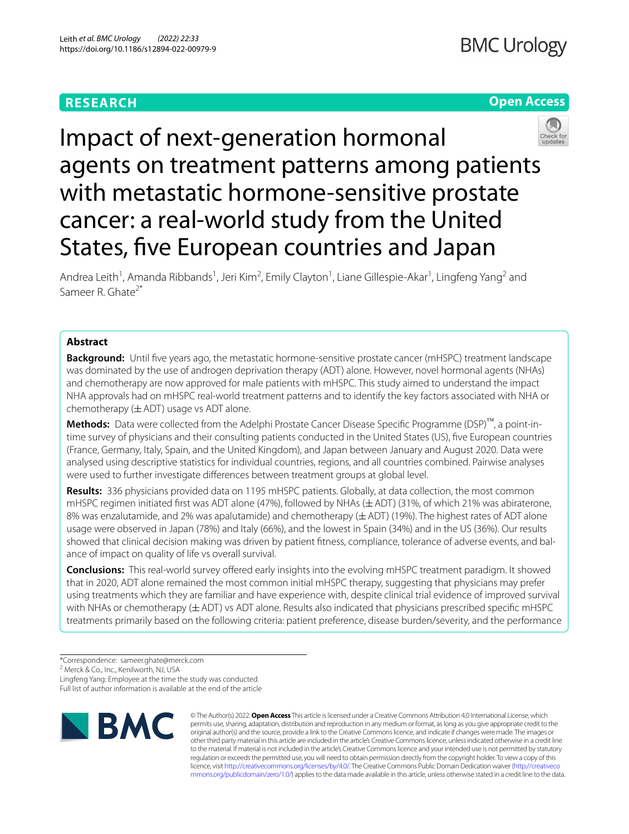# **RESEARCH**

# **Open Access**



Impact of next-generation hormonal agents on treatment patterns among patients with metastatic hormone-sensitive prostate cancer: a real-world study from the United States, fve European countries and Japan

Andrea Leith<sup>1</sup>, Amanda Ribbands<sup>1</sup>, Jeri Kim<sup>2</sup>, Emily Clayton<sup>1</sup>, Liane Gillespie-Akar<sup>1</sup>, Lingfeng Yang<sup>2</sup> and Sameer R. Ghate<sup>2\*</sup>

# **Abstract**

**Background:** Until fve years ago, the metastatic hormone-sensitive prostate cancer (mHSPC) treatment landscape was dominated by the use of androgen deprivation therapy (ADT) alone. However, novel hormonal agents (NHAs) and chemotherapy are now approved for male patients with mHSPC. This study aimed to understand the impact NHA approvals had on mHSPC real-world treatment patterns and to identify the key factors associated with NHA or chemotherapy  $(\pm ADT)$  usage vs ADT alone.

**Methods:** Data were collected from the Adelphi Prostate Cancer Disease Specifc Programme (DSP)™, a point-intime survey of physicians and their consulting patients conducted in the United States (US), fve European countries (France, Germany, Italy, Spain, and the United Kingdom), and Japan between January and August 2020. Data were analysed using descriptive statistics for individual countries, regions, and all countries combined. Pairwise analyses were used to further investigate diferences between treatment groups at global level.

**Results:** 336 physicians provided data on 1195 mHSPC patients. Globally, at data collection, the most common mHSPC regimen initiated frst was ADT alone (47%), followed by NHAs (±ADT) (31%, of which 21% was abiraterone, 8% was enzalutamide, and 2% was apalutamide) and chemotherapy ( $\pm$  ADT) (19%). The highest rates of ADT alone usage were observed in Japan (78%) and Italy (66%), and the lowest in Spain (34%) and in the US (36%). Our results showed that clinical decision making was driven by patient fitness, compliance, tolerance of adverse events, and balance of impact on quality of life vs overall survival.

**Conclusions:** This real-world survey offered early insights into the evolving mHSPC treatment paradigm. It showed that in 2020, ADT alone remained the most common initial mHSPC therapy, suggesting that physicians may prefer using treatments which they are familiar and have experience with, despite clinical trial evidence of improved survival with NHAs or chemotherapy ( $\pm$  ADT) vs ADT alone. Results also indicated that physicians prescribed specific mHSPC treatments primarily based on the following criteria: patient preference, disease burden/severity, and the performance

2 Merck & Co., Inc., Kenilworth, NJ, USA

Lingfeng Yang: Employee at the time the study was conducted. Full list of author information is available at the end of the article



© The Author(s) 2022. **Open Access** This article is licensed under a Creative Commons Attribution 4.0 International License, which permits use, sharing, adaptation, distribution and reproduction in any medium or format, as long as you give appropriate credit to the original author(s) and the source, provide a link to the Creative Commons licence, and indicate if changes were made. The images or other third party material in this article are included in the article's Creative Commons licence, unless indicated otherwise in a credit line to the material. If material is not included in the article's Creative Commons licence and your intended use is not permitted by statutory regulation or exceeds the permitted use, you will need to obtain permission directly from the copyright holder. To view a copy of this licence, visit [http://creativecommons.org/licenses/by/4.0/.](http://creativecommons.org/licenses/by/4.0/) The Creative Commons Public Domain Dedication waiver ([http://creativeco](http://creativecommons.org/publicdomain/zero/1.0/) [mmons.org/publicdomain/zero/1.0/](http://creativecommons.org/publicdomain/zero/1.0/)) applies to the data made available in this article, unless otherwise stated in a credit line to the data.

<sup>\*</sup>Correspondence: sameer.ghate@merck.com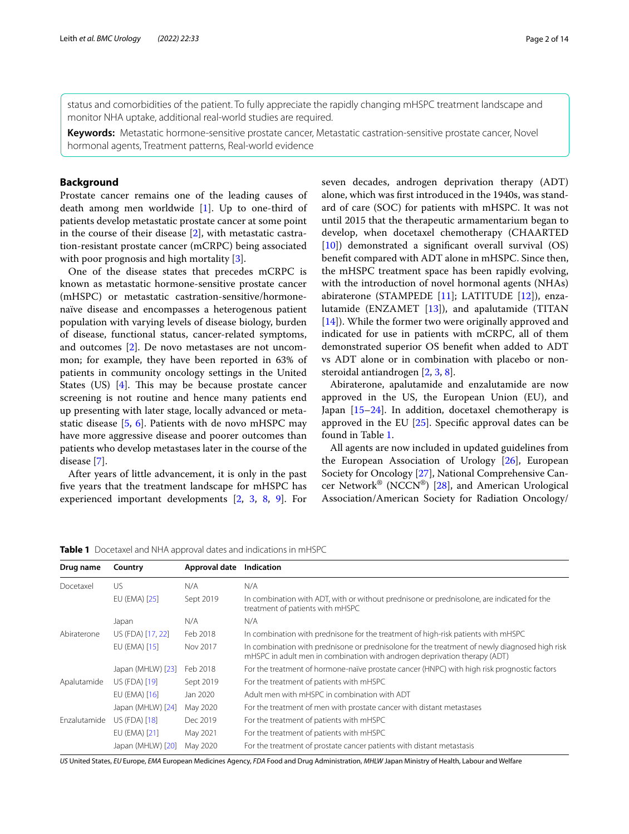status and comorbidities of the patient. To fully appreciate the rapidly changing mHSPC treatment landscape and monitor NHA uptake, additional real-world studies are required.

**Keywords:** Metastatic hormone-sensitive prostate cancer, Metastatic castration-sensitive prostate cancer, Novel hormonal agents, Treatment patterns, Real-world evidence

# **Background**

Prostate cancer remains one of the leading causes of death among men worldwide [\[1](#page-12-0)]. Up to one-third of patients develop metastatic prostate cancer at some point in the course of their disease [[2\]](#page-12-1), with metastatic castration-resistant prostate cancer (mCRPC) being associated with poor prognosis and high mortality [[3\]](#page-12-2).

One of the disease states that precedes mCRPC is known as metastatic hormone-sensitive prostate cancer (mHSPC) or metastatic castration-sensitive/hormonenaïve disease and encompasses a heterogenous patient population with varying levels of disease biology, burden of disease, functional status, cancer-related symptoms, and outcomes [\[2](#page-12-1)]. De novo metastases are not uncommon; for example, they have been reported in 63% of patients in community oncology settings in the United States (US)  $[4]$  $[4]$ . This may be because prostate cancer screening is not routine and hence many patients end up presenting with later stage, locally advanced or metastatic disease [[5,](#page-12-4) [6](#page-12-5)]. Patients with de novo mHSPC may have more aggressive disease and poorer outcomes than patients who develop metastases later in the course of the disease [\[7](#page-12-6)].

After years of little advancement, it is only in the past fve years that the treatment landscape for mHSPC has experienced important developments [[2,](#page-12-1) [3](#page-12-2), [8,](#page-12-7) [9](#page-12-8)]. For

seven decades, androgen deprivation therapy (ADT) alone, which was frst introduced in the 1940s, was standard of care (SOC) for patients with mHSPC. It was not until 2015 that the therapeutic armamentarium began to develop, when docetaxel chemotherapy (CHAARTED [[10\]](#page-12-9)) demonstrated a significant overall survival (OS) beneft compared with ADT alone in mHSPC. Since then, the mHSPC treatment space has been rapidly evolving, with the introduction of novel hormonal agents (NHAs) abiraterone (STAMPEDE [[11](#page-12-10)]; LATITUDE [\[12](#page-12-11)]), enzalutamide (ENZAMET [[13](#page-12-12)]), and apalutamide (TITAN [[14\]](#page-12-13)). While the former two were originally approved and indicated for use in patients with mCRPC, all of them demonstrated superior OS beneft when added to ADT vs ADT alone or in combination with placebo or nonsteroidal antiandrogen [\[2](#page-12-1), [3,](#page-12-2) [8](#page-12-7)].

Abiraterone, apalutamide and enzalutamide are now approved in the US, the European Union (EU), and Japan [\[15](#page-12-14)–[24\]](#page-12-15). In addition, docetaxel chemotherapy is approved in the EU  $[25]$  $[25]$  $[25]$ . Specific approval dates can be found in Table [1.](#page-1-0)

All agents are now included in updated guidelines from the European Association of Urology [\[26](#page-12-17)], European Society for Oncology [\[27](#page-12-18)], National Comprehensive Can-cer Network<sup>®</sup> (NCCN<sup>®</sup>) [[28](#page-12-19)], and American Urological Association/American Society for Radiation Oncology/

<span id="page-1-0"></span>**Table 1** Docetaxel and NHA approval dates and indications in mHSPC

| Drug name    | Country           | Approval date | Indication                                                                                                                                                                 |
|--------------|-------------------|---------------|----------------------------------------------------------------------------------------------------------------------------------------------------------------------------|
| Docetaxel    | US                | N/A           | N/A                                                                                                                                                                        |
|              | EU (EMA) [25]     | Sept 2019     | In combination with ADT, with or without prednisone or prednisolone, are indicated for the<br>treatment of patients with mHSPC                                             |
|              | Japan             | N/A           | N/A                                                                                                                                                                        |
| Abiraterone  | US (FDA) [17, 22] | Feb 2018      | In combination with prednisone for the treatment of high-risk patients with mHSPC                                                                                          |
|              | EU (EMA) [15]     | Nov 2017      | In combination with prednisone or prednisolone for the treatment of newly diagnosed high risk<br>mHSPC in adult men in combination with androgen deprivation therapy (ADT) |
|              | Japan (MHLW) [23] | Feb 2018      | For the treatment of hormone-naïve prostate cancer (HNPC) with high risk prognostic factors                                                                                |
| Apalutamide  | US (FDA) [19]     | Sept 2019     | For the treatment of patients with mHSPC                                                                                                                                   |
|              | EU (EMA) [16]     | Jan 2020      | Adult men with mHSPC in combination with ADT                                                                                                                               |
|              | Japan (MHLW) [24] | May 2020      | For the treatment of men with prostate cancer with distant metastases                                                                                                      |
| Enzalutamide | US (FDA) [18]     | Dec 2019      | For the treatment of patients with mHSPC                                                                                                                                   |
|              | EU (EMA) [21]     | May 2021      | For the treatment of patients with mHSPC                                                                                                                                   |
|              | Japan (MHLW) [20] | May 2020      | For the treatment of prostate cancer patients with distant metastasis                                                                                                      |

*US* United States, *EU* Europe, *EMA* European Medicines Agency, *FDA* Food and Drug Administration, *MHLW* Japan Ministry of Health, Labour and Welfare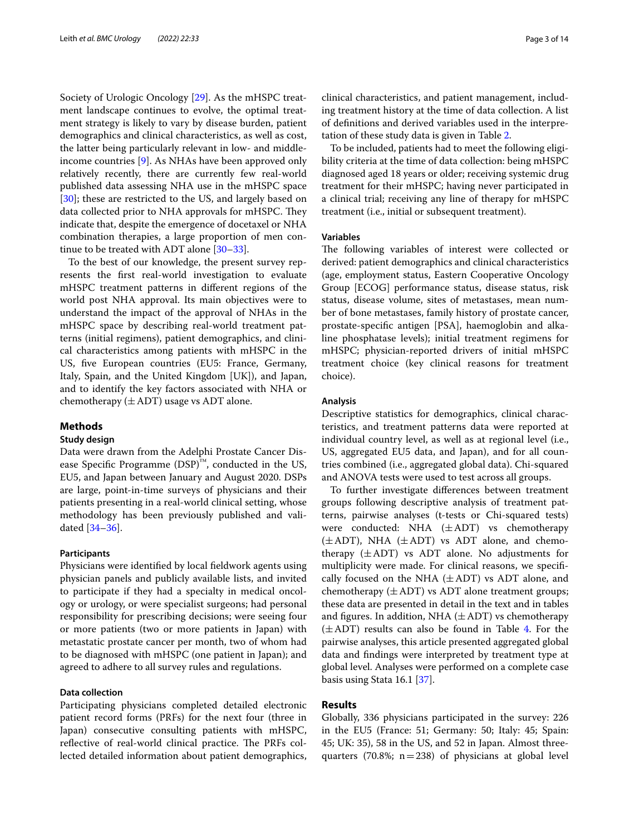Society of Urologic Oncology [\[29](#page-13-0)]. As the mHSPC treatment landscape continues to evolve, the optimal treatment strategy is likely to vary by disease burden, patient demographics and clinical characteristics, as well as cost, the latter being particularly relevant in low- and middleincome countries [\[9](#page-12-8)]. As NHAs have been approved only relatively recently, there are currently few real-world published data assessing NHA use in the mHSPC space [[30\]](#page-13-1); these are restricted to the US, and largely based on data collected prior to NHA approvals for mHSPC. They indicate that, despite the emergence of docetaxel or NHA combination therapies, a large proportion of men continue to be treated with ADT alone [\[30–](#page-13-1)[33\]](#page-13-2).

To the best of our knowledge, the present survey represents the frst real-world investigation to evaluate mHSPC treatment patterns in diferent regions of the world post NHA approval. Its main objectives were to understand the impact of the approval of NHAs in the mHSPC space by describing real-world treatment patterns (initial regimens), patient demographics, and clinical characteristics among patients with mHSPC in the US, fve European countries (EU5: France, Germany, Italy, Spain, and the United Kingdom [UK]), and Japan, and to identify the key factors associated with NHA or chemotherapy  $(\pm ADT)$  usage vs ADT alone.

# **Methods**

# **Study design**

Data were drawn from the Adelphi Prostate Cancer Disease Specific Programme  $(DSP)$ <sup>™</sup>, conducted in the US, EU5, and Japan between January and August 2020. DSPs are large, point-in-time surveys of physicians and their patients presenting in a real-world clinical setting, whose methodology has been previously published and validated [[34–](#page-13-3)[36\]](#page-13-4).

## **Participants**

Physicians were identifed by local feldwork agents using physician panels and publicly available lists, and invited to participate if they had a specialty in medical oncology or urology, or were specialist surgeons; had personal responsibility for prescribing decisions; were seeing four or more patients (two or more patients in Japan) with metastatic prostate cancer per month, two of whom had to be diagnosed with mHSPC (one patient in Japan); and agreed to adhere to all survey rules and regulations.

## **Data collection**

Participating physicians completed detailed electronic patient record forms (PRFs) for the next four (three in Japan) consecutive consulting patients with mHSPC, reflective of real-world clinical practice. The PRFs collected detailed information about patient demographics, clinical characteristics, and patient management, including treatment history at the time of data collection. A list of defnitions and derived variables used in the interpretation of these study data is given in Table [2](#page-3-0).

To be included, patients had to meet the following eligibility criteria at the time of data collection: being mHSPC diagnosed aged 18 years or older; receiving systemic drug treatment for their mHSPC; having never participated in a clinical trial; receiving any line of therapy for mHSPC treatment (i.e., initial or subsequent treatment).

## **Variables**

The following variables of interest were collected or derived: patient demographics and clinical characteristics (age, employment status, Eastern Cooperative Oncology Group [ECOG] performance status, disease status, risk status, disease volume, sites of metastases, mean number of bone metastases, family history of prostate cancer, prostate-specifc antigen [PSA], haemoglobin and alkaline phosphatase levels); initial treatment regimens for mHSPC; physician-reported drivers of initial mHSPC treatment choice (key clinical reasons for treatment choice).

## **Analysis**

Descriptive statistics for demographics, clinical characteristics, and treatment patterns data were reported at individual country level, as well as at regional level (i.e., US, aggregated EU5 data, and Japan), and for all countries combined (i.e., aggregated global data). Chi-squared and ANOVA tests were used to test across all groups.

To further investigate diferences between treatment groups following descriptive analysis of treatment patterns, pairwise analyses (t-tests or Chi-squared tests) were conducted: NHA (±ADT) vs chemotherapy  $(\pm ADT)$ , NHA  $(\pm ADT)$  vs ADT alone, and chemotherapy  $(\pm ADT)$  vs ADT alone. No adjustments for multiplicity were made. For clinical reasons, we specifcally focused on the NHA  $(\pm ADT)$  vs ADT alone, and chemotherapy  $(\pm ADT)$  vs ADT alone treatment groups; these data are presented in detail in the text and in tables and figures. In addition, NHA  $(\pm ADT)$  vs chemotherapy  $(\pm ADT)$  results can also be found in Table [4](#page-6-0). For the pairwise analyses, this article presented aggregated global data and fndings were interpreted by treatment type at global level. Analyses were performed on a complete case basis using Stata 16.1 [[37](#page-13-5)].

## **Results**

Globally, 336 physicians participated in the survey: 226 in the EU5 (France: 51; Germany: 50; Italy: 45; Spain: 45; UK: 35), 58 in the US, and 52 in Japan. Almost threequarters (70.8%;  $n=238$ ) of physicians at global level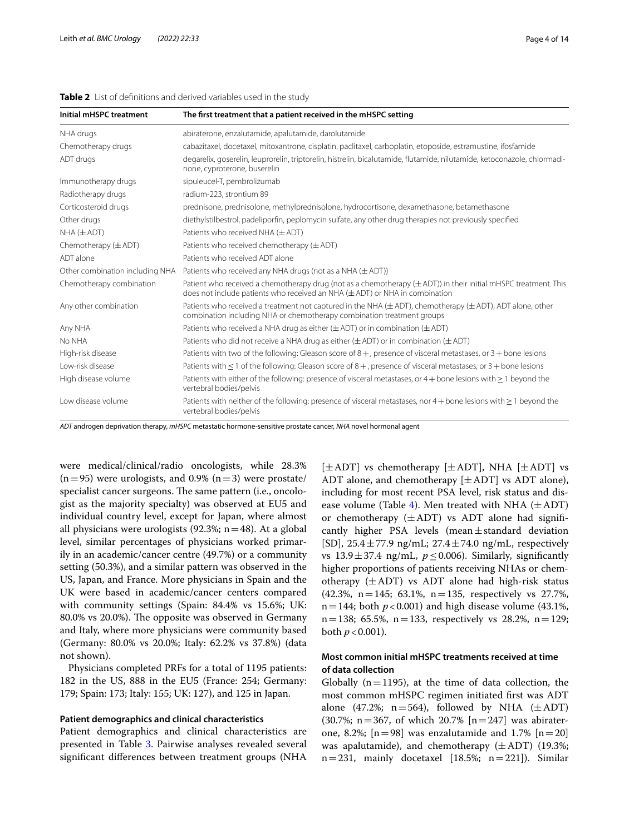| Initial mHSPC treatment         | The first treatment that a patient received in the mHSPC setting                                                                                                                                        |  |  |  |  |  |  |
|---------------------------------|---------------------------------------------------------------------------------------------------------------------------------------------------------------------------------------------------------|--|--|--|--|--|--|
| NHA drugs                       | abiraterone, enzalutamide, apalutamide, darolutamide                                                                                                                                                    |  |  |  |  |  |  |
| Chemotherapy drugs              | cabazitaxel, docetaxel, mitoxantrone, cisplatin, paclitaxel, carboplatin, etoposide, estramustine, ifosfamide                                                                                           |  |  |  |  |  |  |
| ADT drugs                       | degarelix, goserelin, leuprorelin, triptorelin, histrelin, bicalutamide, flutamide, nilutamide, ketoconazole, chlormadi-<br>none, cyproterone, buserelin                                                |  |  |  |  |  |  |
| Immunotherapy drugs             | sipuleucel-T, pembrolizumab                                                                                                                                                                             |  |  |  |  |  |  |
| Radiotherapy drugs              | radium-223, strontium 89                                                                                                                                                                                |  |  |  |  |  |  |
| Corticosteroid drugs            | prednisone, prednisolone, methylprednisolone, hydrocortisone, dexamethasone, betamethasone                                                                                                              |  |  |  |  |  |  |
| Other drugs                     | diethylstilbestrol, padeliporfin, peplomycin sulfate, any other drug therapies not previously specified                                                                                                 |  |  |  |  |  |  |
| $NHA (\pm ADT)$                 | Patients who received NHA $(\pm$ ADT)                                                                                                                                                                   |  |  |  |  |  |  |
| Chemotherapy $(\pm ADT)$        | Patients who received chemotherapy $(\pm ADT)$                                                                                                                                                          |  |  |  |  |  |  |
| ADT alone                       | Patients who received ADT alone                                                                                                                                                                         |  |  |  |  |  |  |
| Other combination including NHA | Patients who received any NHA drugs (not as a NHA $(\pm$ ADT))                                                                                                                                          |  |  |  |  |  |  |
| Chemotherapy combination        | Patient who received a chemotherapy drug (not as a chemotherapy ( $\pm$ ADT)) in their initial mHSPC treatment. This<br>does not include patients who received an NHA $(\pm$ ADT) or NHA in combination |  |  |  |  |  |  |
| Any other combination           | Patients who received a treatment not captured in the NHA ( $\pm$ ADT), chemotherapy ( $\pm$ ADT), ADT alone, other<br>combination including NHA or chemotherapy combination treatment groups           |  |  |  |  |  |  |
| Any NHA                         | Patients who received a NHA drug as either $(\pm$ ADT) or in combination ( $\pm$ ADT)                                                                                                                   |  |  |  |  |  |  |
| No NHA                          | Patients who did not receive a NHA drug as either $(\pm ADT)$ or in combination $(\pm ADT)$                                                                                                             |  |  |  |  |  |  |
| High-risk disease               | Patients with two of the following: Gleason score of $8+$ , presence of visceral metastases, or $3+$ bone lesions                                                                                       |  |  |  |  |  |  |
| Low-risk disease                | Patients with $\leq$ 1 of the following: Gleason score of 8 + , presence of visceral metastases, or 3 + bone lesions                                                                                    |  |  |  |  |  |  |
| High disease volume             | Patients with either of the following: presence of visceral metastases, or $4 +$ bone lesions with $\geq 1$ beyond the<br>vertebral bodies/pelvis                                                       |  |  |  |  |  |  |
| Low disease volume              | Patients with neither of the following: presence of visceral metastases, nor $4 +$ bone lesions with $\geq 1$ beyond the<br>vertebral bodies/pelvis                                                     |  |  |  |  |  |  |

# <span id="page-3-0"></span>**Table 2** List of defnitions and derived variables used in the study

*ADT* androgen deprivation therapy, *mHSPC* metastatic hormone-sensitive prostate cancer, *NHA* novel hormonal agent

were medical/clinical/radio oncologists, while 28.3%  $(n=95)$  were urologists, and 0.9%  $(n=3)$  were prostate/ specialist cancer surgeons. The same pattern (i.e., oncologist as the majority specialty) was observed at EU5 and individual country level, except for Japan, where almost all physicians were urologists  $(92.3\%; n=48)$ . At a global level, similar percentages of physicians worked primarily in an academic/cancer centre (49.7%) or a community setting (50.3%), and a similar pattern was observed in the US, Japan, and France. More physicians in Spain and the UK were based in academic/cancer centers compared with community settings (Spain: 84.4% vs 15.6%; UK: 80.0% vs 20.0%). The opposite was observed in Germany and Italy, where more physicians were community based (Germany: 80.0% vs 20.0%; Italy: 62.2% vs 37.8%) (data not shown).

Physicians completed PRFs for a total of 1195 patients: 182 in the US, 888 in the EU5 (France: 254; Germany: 179; Spain: 173; Italy: 155; UK: 127), and 125 in Japan.

## **Patient demographics and clinical characteristics**

Patient demographics and clinical characteristics are presented in Table [3.](#page-4-0) Pairwise analyses revealed several signifcant diferences between treatment groups (NHA  $[\pm ADT]$  vs chemotherapy  $[\pm ADT]$ , NHA  $[\pm ADT]$  vs ADT alone, and chemotherapy  $[\pm ADT]$  vs ADT alone), including for most recent PSA level, risk status and dis-ease volume (Table [4\)](#page-6-0). Men treated with NHA  $(\pm ADT)$ or chemotherapy  $(\pm ADT)$  vs ADT alone had significantly higher PSA levels (mean $\pm$ standard deviation [SD],  $25.4 \pm 77.9$  ng/mL;  $27.4 \pm 74.0$  ng/mL, respectively vs  $13.9 \pm 37.4$  ng/mL,  $p \le 0.006$ ). Similarly, significantly higher proportions of patients receiving NHAs or chemotherapy  $(\pm ADT)$  vs ADT alone had high-risk status (42.3%, n=145; 63.1%, n=135, respectively vs 27.7%,  $n=144$ ; both  $p < 0.001$ ) and high disease volume (43.1%,  $n=138$ ; 65.5%,  $n=133$ , respectively vs 28.2%,  $n=129$ ; both  $p < 0.001$ ).

# **Most common initial mHSPC treatments received at time of data collection**

Globally  $(n=1195)$ , at the time of data collection, the most common mHSPC regimen initiated frst was ADT alone (47.2%;  $n=564$ ), followed by NHA ( $\pm$ ADT) (30.7%; n = 367, of which 20.7%  $[n=247]$  was abiraterone, 8.2%;  $[n=98]$  was enzalutamide and 1.7%  $[n=20]$ was apalutamide), and chemotherapy  $(\pm ADT)$  (19.3%;  $n=231$ , mainly docetaxel [18.5%;  $n=221$ ]). Similar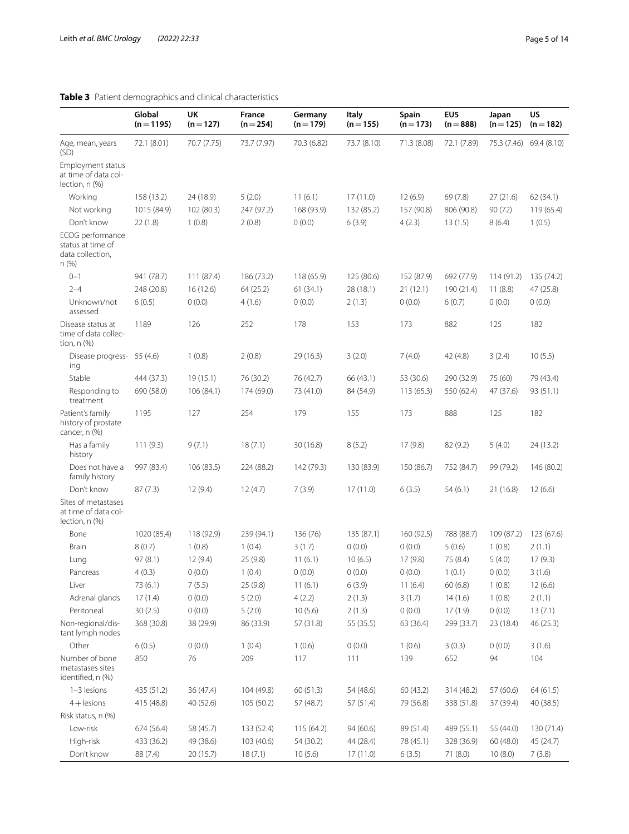# <span id="page-4-0"></span>**Table 3** Patient demographics and clinical characteristics

|                                                                   | Global<br>$(n=1195)$ | UK<br>$(n=127)$ | France<br>$(n=254)$ | Germany<br>$(n=179)$ | <b>Italy</b><br>$(n=155)$ | Spain<br>$(n=173)$ | EU <sub>5</sub><br>$(n = 888)$ | Japan<br>$(n=125)$ | US<br>$(n=182)$ |
|-------------------------------------------------------------------|----------------------|-----------------|---------------------|----------------------|---------------------------|--------------------|--------------------------------|--------------------|-----------------|
| Age, mean, years<br>(SD)                                          | 72.1 (8.01)          | 70.7 (7.75)     | 73.7 (7.97)         | 70.3 (6.82)          | 73.7 (8.10)               | 71.3 (8.08)        | 72.1 (7.89)                    | 75.3 (7.46)        | 69.4 (8.10)     |
| Employment status<br>at time of data col-<br>lection, n (%)       |                      |                 |                     |                      |                           |                    |                                |                    |                 |
| Working                                                           | 158 (13.2)           | 24 (18.9)       | 5(2.0)              | 11(6.1)              | 17(11.0)                  | 12(6.9)            | 69(7.8)                        | 27(21.6)           | 62 (34.1)       |
| Not working                                                       | 1015 (84.9)          | 102 (80.3)      | 247 (97.2)          | 168 (93.9)           | 132 (85.2)                | 157 (90.8)         | 806 (90.8)                     | 90(72)             | 119(65.4)       |
| Don't know                                                        | 22(1.8)              | 1(0.8)          | 2(0.8)              | 0(0.0)               | 6(3.9)                    | 4(2.3)             | 13(1.5)                        | 8(6.4)             | 1(0.5)          |
| ECOG performance<br>status at time of<br>data collection,<br>n(%) |                      |                 |                     |                      |                           |                    |                                |                    |                 |
| $0 - 1$                                                           | 941 (78.7)           | 111 (87.4)      | 186 (73.2)          | 118(65.9)            | 125 (80.6)                | 152 (87.9)         | 692 (77.9)                     | 114(91.2)          | 135 (74.2)      |
| $2 - 4$                                                           | 248 (20.8)           | 16(12.6)        | 64(25.2)            | 61(34.1)             | 28 (18.1)                 | 21(12.1)           | 190 (21.4)                     | 11(8.8)            | 47 (25.8)       |
| Unknown/not<br>assessed                                           | 6(0.5)               | 0(0.0)          | 4(1.6)              | 0(0.0)               | 2(1.3)                    | 0(0.0)             | 6(0.7)                         | 0(0.0)             | 0(0.0)          |
| Disease status at<br>time of data collec-<br>tion, $n$ $(\%)$     | 1189                 | 126             | 252                 | 178                  | 153                       | 173                | 882                            | 125                | 182             |
| Disease progress-<br>ing                                          | 55(4.6)              | 1(0.8)          | 2(0.8)              | 29 (16.3)            | 3(2.0)                    | 7(4.0)             | 42 (4.8)                       | 3(2.4)             | 10(5.5)         |
| Stable                                                            | 444 (37.3)           | 19(15.1)        | 76 (30.2)           | 76 (42.7)            | 66 (43.1)                 | 53 (30.6)          | 290 (32.9)                     | 75 (60)            | 79 (43.4)       |
| Responding to<br>treatment                                        | 690 (58.0)           | 106 (84.1)      | 174 (69.0)          | 73 (41.0)            | 84 (54.9)                 | 113(65.3)          | 550 (62.4)                     | 47 (37.6)          | 93 (51.1)       |
| Patient's family<br>history of prostate<br>cancer, n (%)          | 1195                 | 127             | 254                 | 179                  | 155                       | 173                | 888                            | 125                | 182             |
| Has a family<br>history                                           | 111(9.3)             | 9(7.1)          | 18(7.1)             | 30(16.8)             | 8(5.2)                    | 17(9.8)            | 82(9.2)                        | 5(4.0)             | 24 (13.2)       |
| Does not have a<br>family history                                 | 997 (83.4)           | 106 (83.5)      | 224 (88.2)          | 142 (79.3)           | 130 (83.9)                | 150 (86.7)         | 752 (84.7)                     | 99 (79.2)          | 146 (80.2)      |
| Don't know                                                        | 87(7.3)              | 12(9.4)         | 12(4.7)             | 7(3.9)               | 17(11.0)                  | 6(3.5)             | 54(6.1)                        | 21 (16.8)          | 12(6.6)         |
| Sites of metastases<br>at time of data col-<br>lection, n (%)     |                      |                 |                     |                      |                           |                    |                                |                    |                 |
| Bone                                                              | 1020 (85.4)          | 118 (92.9)      | 239 (94.1)          | 136 (76)             | 135 (87.1)                | 160 (92.5)         | 788 (88.7)                     | 109 (87.2)         | 123 (67.6)      |
| Brain                                                             | 8(0.7)               | 1(0.8)          | 1(0.4)              | 3(1.7)               | 0(0.0)                    | 0(0.0)             | 5(0.6)                         | 1(0.8)             | 2(1.1)          |
| Lung                                                              | 97(8.1)              | 12(9.4)         | 25 (9.8)            | 11(6.1)              | 10(6.5)                   | 17(9.8)            | 75 (8.4)                       | 5(4.0)             | 17(9.3)         |
| Pancreas                                                          | 4(0.3)               | 0(0.0)          | 1(0.4)              | 0(0.0)               | 0(0.0)                    | 0(0.0)             | 1(0.1)                         | 0(0.0)             | 3(1.6)          |
| Liver                                                             | 73 (6.1)             | 7(5.5)          | 25 (9.8)            | 11(6.1)              | 6(3.9)                    | 11(6.4)            | 60(6.8)                        | 1(0.8)             | 12(6.6)         |
| Adrenal glands                                                    | 17(1.4)              | 0(0.0)          | 5(2.0)              | 4(2.2)               | 2(1.3)                    | 3(1.7)             | 14(1.6)                        | 1(0.8)             | 2(1.1)          |
| Peritoneal                                                        | 30(2.5)              | 0(0.0)          | 5(2.0)              | 10(5.6)              | 2(1.3)                    | 0(0.0)             | 17(1.9)                        | 0(0.0)             | 13(7.1)         |
| Non-regional/dis-<br>tant lymph nodes                             | 368 (30.8)           | 38 (29.9)       | 86 (33.9)           | 57 (31.8)            | 55 (35.5)                 | 63 (36.4)          | 299 (33.7)                     | 23 (18.4)          | 46 (25.3)       |
| Other                                                             | 6(0.5)               | 0(0.0)          | 1(0.4)              | 1(0.6)               | 0(0.0)                    | 1(0.6)             | 3(0.3)                         | 0(0.0)             | 3(1.6)          |
| Number of bone<br>metastases sites<br>identified, n (%)           | 850                  | 76              | 209                 | 117                  | 111                       | 139                | 652                            | 94                 | 104             |
| 1-3 lesions                                                       | 435 (51.2)           | 36 (47.4)       | 104 (49.8)          | 60 (51.3)            | 54 (48.6)                 | 60 (43.2)          | 314 (48.2)                     | 57 (60.6)          | 64(61.5)        |
| $4 +$ lesions                                                     | 415 (48.8)           | 40 (52.6)       | 105 (50.2)          | 57 (48.7)            | 57 (51.4)                 | 79 (56.8)          | 338 (51.8)                     | 37 (39.4)          | 40 (38.5)       |
| Risk status, n (%)                                                |                      |                 |                     |                      |                           |                    |                                |                    |                 |
| Low-risk                                                          | 674 (56.4)           | 58 (45.7)       | 133 (52.4)          | 115 (64.2)           | 94 (60.6)                 | 89 (51.4)          | 489 (55.1)                     | 55 (44.0)          | 130 (71.4)      |
| High-risk                                                         | 433 (36.2)           | 49 (38.6)       | 103 (40.6)          | 54 (30.2)            | 44 (28.4)                 | 78 (45.1)          | 328 (36.9)                     | 60(48.0)           | 45 (24.7)       |
| Don't know                                                        | 88 (7.4)             | 20 (15.7)       | 18(7.1)             | 10(5.6)              | 17(11.0)                  | 6(3.5)             | 71 (8.0)                       | 10(8.0)            | 7(3.8)          |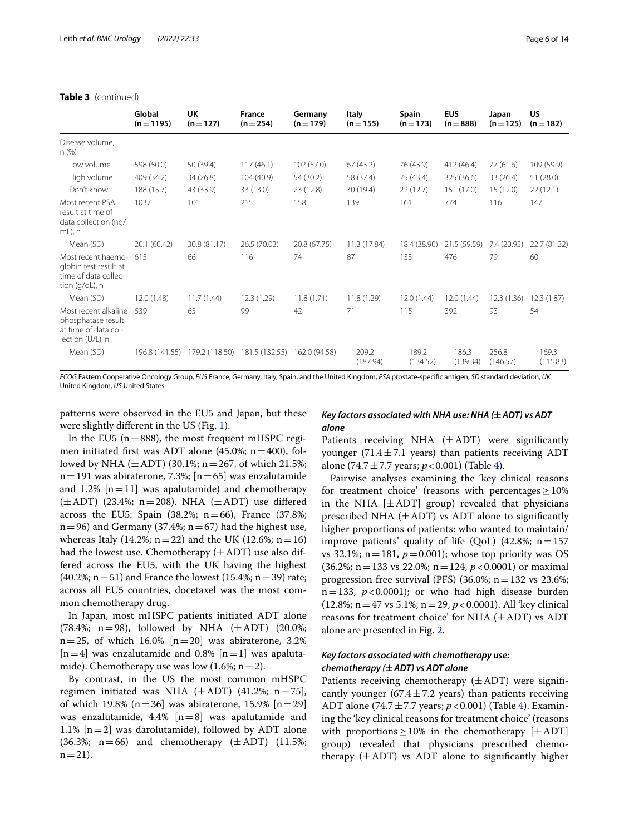|                                                                                        | Global<br>$(n=1195)$ | UK<br>$(n=127)$ | France<br>$(n=254)$ | Germany<br>$(n=179)$ | Italy<br>$(n=155)$ | Spain<br>$(n=173)$ | EU <sub>5</sub><br>$(n = 888)$ | Japan<br>$(n=125)$ | US<br>$(n=182)$   |
|----------------------------------------------------------------------------------------|----------------------|-----------------|---------------------|----------------------|--------------------|--------------------|--------------------------------|--------------------|-------------------|
| Disease volume,<br>n(%)                                                                |                      |                 |                     |                      |                    |                    |                                |                    |                   |
| Low volume                                                                             | 598 (50.0)           | 50 (39.4)       | 117(46.1)           | 102(57.0)            | 67(43.2)           | 76 (43.9)          | 412 (46.4)                     | 77 (61.6)          | 109 (59.9)        |
| High volume                                                                            | 409 (34.2)           | 34(26.8)        | 104(40.9)           | 54 (30.2)            | 58 (37.4)          | 75 (43.4)          | 325 (36.6)                     | 33 (26.4)          | 51(28.0)          |
| Don't know                                                                             | 188 (15.7)           | 43 (33.9)       | 33 (13.0)           | 23 (12.8)            | 30 (19.4)          | 22(12.7)           | 151 (17.0)                     | 15(12.0)           | 22(12.1)          |
| Most recent PSA<br>result at time of<br>data collection (ng/<br>$mL$ , n               | 1037                 | 101             | 215                 | 158                  | 139                | 161                | 774                            | 116                | 147               |
| Mean (SD)                                                                              | 20.1 (60.42)         | 30.8 (81.17)    | 26.5 (70.03)        | 20.8 (67.75)         | 11.3 (17.84)       | 18.4 (38.90)       | 21.5 (59.59)                   | 7.4 (20.95)        | 22.7 (81.32)      |
| Most recent haemo-<br>globin test result at<br>time of data collec-<br>tion (g/dL), n  | 615                  | 66              | 116                 | 74                   | 87                 | 133                | 476                            | 79                 | 60                |
| Mean (SD)                                                                              | 12.0 (1.48)          | 11.7(1.44)      | 12.3(1.29)          | 11.8(1.71)           | 11.8(1.29)         | 12.0 (1.44)        | 12.0 (1.44)                    | 12.3(1.36)         | 12.3(1.87)        |
| Most recent alkaline<br>phosphatase result<br>at time of data col-<br>lection (U/L), n | 539                  | 65              | 99                  | 42                   | 71                 | 115                | 392                            | 93                 | 54                |
| Mean (SD)                                                                              | 196.8 (141.55)       | 179.2 (118.50)  | 181.5 (132.55)      | 162.0 (94.58)        | 209.2<br>(187.94)  | 189.2<br>(134.52)  | 186.3<br>(139.34)              | 256.8<br>(146.57)  | 169.3<br>(115.83) |

## **Table 3** (continued)

*ECOG* Eastern Cooperative Oncology Group, *EU5* France, Germany, Italy, Spain, and the United Kingdom, *PSA* prostate-specifc antigen, *SD* standard deviation, *UK* United Kingdom, *US* United States

patterns were observed in the EU5 and Japan, but these were slightly diferent in the US (Fig. [1\)](#page-8-0).

In the EU5 ( $n=888$ ), the most frequent mHSPC regimen initiated first was ADT alone  $(45.0\%; n=400)$ , followed by NHA  $(\pm ADT)$  (30.1%; n = 267, of which 21.5%;  $n=191$  was abiraterone, 7.3%; [ $n=65$ ] was enzalutamide and 1.2%  $[n=11]$  was apalutamide) and chemotherapy  $(\pm ADT)$  (23.4%; n=208). NHA  $(\pm ADT)$  use differed across the EU5: Spain  $(38.2\%; n=66)$ , France  $(37.8\%;$  $n=96$ ) and Germany (37.4%;  $n=67$ ) had the highest use, whereas Italy (14.2%; n=22) and the UK (12.6%; n=16) had the lowest use. Chemotherapy  $(\pm ADT)$  use also differed across the EU5, with the UK having the highest  $(40.2\%; n=51)$  and France the lowest  $(15.4\%; n=39)$  rate; across all EU5 countries, docetaxel was the most common chemotherapy drug.

In Japan, most mHSPC patients initiated ADT alone (78.4%; n=98), followed by NHA  $(\pm ADT)$  (20.0%;  $n=25$ , of which 16.0%  $[n=20]$  was abiraterone, 3.2%  $[n=4]$  was enzalutamide and 0.8%  $[n=1]$  was apalutamide). Chemotherapy use was low  $(1.6\%; n=2)$ .

By contrast, in the US the most common mHSPC regimen initiated was NHA  $(\pm ADT)$  (41.2%; n=75], of which 19.8% ( $n=36$ ] was abiraterone, 15.9% [ $n=29$ ] was enzalutamide,  $4.4\%$  [n=8] was apalutamide and 1.1%  $[n=2]$  was darolutamide), followed by ADT alone  $(36.3\%; n=66)$  and chemotherapy  $(\pm ADT)$   $(11.5\%;$  $n = 21$ ).

# *Key factors associated with NHA use: NHA (***±***ADT) vs ADT alone*

Patients receiving NHA  $(\pm ADT)$  were significantly younger (71.4 $\pm$ 7.1 years) than patients receiving ADT alone (74.7 $\pm$ 7.7 years; *p* < 0.001) (Table [4\)](#page-6-0).

Pairwise analyses examining the 'key clinical reasons for treatment choice' (reasons with percentages  $\geq$  10% in the NHA  $[\pm ADT]$  group) revealed that physicians prescribed NHA  $(\pm ADT)$  vs ADT alone to significantly higher proportions of patients: who wanted to maintain/ improve patients' quality of life (QoL) (42.8%;  $n=157$ vs 32.1%;  $n=181$ ,  $p=0.001$ ); whose top priority was OS (36.2%; n=133 vs 22.0%; n=124, *p*<0.0001) or maximal progression free survival (PFS) (36.0%;  $n=132$  vs 23.6%;  $n=133$ ,  $p<0.0001$ ); or who had high disease burden (12.8%; n=47 vs 5.1%; n=29, *p*<0.0001). All 'key clinical reasons for treatment choice' for NHA  $(\pm ADT)$  vs ADT alone are presented in Fig. [2.](#page-9-0)

# *Key factors associated with chemotherapy use: chemotherapy (***±***ADT) vs ADT alone*

Patients receiving chemotherapy  $(\pm ADT)$  were significantly younger (67.4 $\pm$ 7.2 years) than patients receiving ADT alone (74.7±7.7 years; *p*<0.001) (Table [4\)](#page-6-0). Examining the 'key clinical reasons for treatment choice' (reasons with proportions  $\geq$  10% in the chemotherapy [ $\pm$ ADT] group) revealed that physicians prescribed chemotherapy  $(\pm ADT)$  vs ADT alone to significantly higher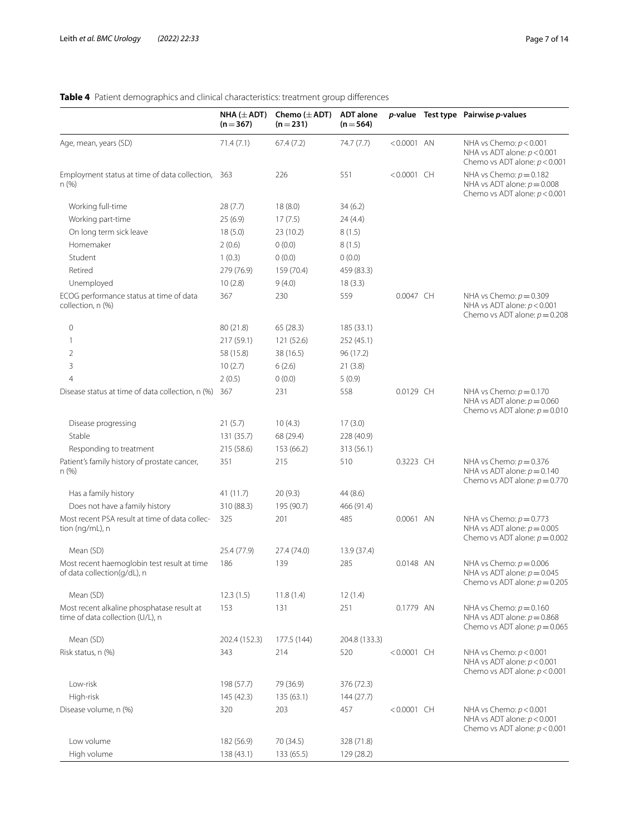# <span id="page-6-0"></span>**Table 4** Patient demographics and clinical characteristics: treatment group diferences

|                                                                                | NHA $(\pm$ ADT)<br>$(n=367)$ | Chemo $(\pm$ ADT)<br>$(n=231)$ | <b>ADT</b> alone<br>$(n = 564)$ |               | $p$ -value Test type Pairwise $p$ -values                                                     |
|--------------------------------------------------------------------------------|------------------------------|--------------------------------|---------------------------------|---------------|-----------------------------------------------------------------------------------------------|
| Age, mean, years (SD)                                                          | 71.4(7.1)                    | 67.4(7.2)                      | 74.7 (7.7)                      | $< 0.0001$ AN | NHA vs Chemo: $p < 0.001$<br>NHA vs ADT alone: $p < 0.001$<br>Chemo vs ADT alone: $p < 0.001$ |
| Employment status at time of data collection, 363<br>n(%)                      |                              | 226                            | 551                             | $< 0.0001$ CH | NHA vs Chemo: $p = 0.182$<br>NHA vs ADT alone: $p = 0.008$<br>Chemo vs ADT alone: $p < 0.001$ |
| Working full-time                                                              | 28(7.7)                      | 18(8.0)                        | 34(6.2)                         |               |                                                                                               |
| Working part-time                                                              | 25(6.9)                      | 17(7.5)                        | 24 (4.4)                        |               |                                                                                               |
| On long term sick leave                                                        | 18(5.0)                      | 23 (10.2)                      | 8(1.5)                          |               |                                                                                               |
| Homemaker                                                                      | 2(0.6)                       | 0(0.0)                         | 8(1.5)                          |               |                                                                                               |
| Student                                                                        | 1(0.3)                       | 0(0.0)                         | 0(0.0)                          |               |                                                                                               |
| Retired                                                                        | 279 (76.9)                   | 159 (70.4)                     | 459 (83.3)                      |               |                                                                                               |
| Unemployed                                                                     | 10(2.8)                      | 9(4.0)                         | 18(3.3)                         |               |                                                                                               |
| ECOG performance status at time of data<br>collection, n (%)                   | 367                          | 230                            | 559                             | 0.0047 CH     | NHA vs Chemo: $p = 0.309$<br>NHA vs ADT alone: $p < 0.001$<br>Chemo vs ADT alone: $p = 0.208$ |
| $\mathbf 0$                                                                    | 80 (21.8)                    | 65(28.3)                       | 185 (33.1)                      |               |                                                                                               |
| 1                                                                              | 217(59.1)                    | 121 (52.6)                     | 252 (45.1)                      |               |                                                                                               |
| 2                                                                              | 58 (15.8)                    | 38 (16.5)                      | 96 (17.2)                       |               |                                                                                               |
| 3                                                                              | 10(2.7)                      | 6(2.6)                         | 21(3.8)                         |               |                                                                                               |
| $\overline{4}$                                                                 | 2(0.5)                       | 0(0.0)                         | 5(0.9)                          |               |                                                                                               |
| Disease status at time of data collection, n (%)                               | 367                          | 231                            | 558                             | 0.0129 CH     | NHA vs Chemo: $p = 0.170$<br>NHA vs ADT alone: $p = 0.060$<br>Chemo vs ADT alone: $p = 0.010$ |
| Disease progressing                                                            | 21(5.7)                      | 10(4.3)                        | 17(3.0)                         |               |                                                                                               |
| Stable                                                                         | 131 (35.7)                   | 68 (29.4)                      | 228 (40.9)                      |               |                                                                                               |
| Responding to treatment                                                        | 215 (58.6)                   | 153 (66.2)                     | 313 (56.1)                      |               |                                                                                               |
| Patient's family history of prostate cancer,<br>n(%)                           | 351                          | 215                            | 510                             | 0.3223 CH     | NHA vs Chemo: $p = 0.376$<br>NHA vs ADT alone: $p = 0.140$<br>Chemo vs ADT alone: $p = 0.770$ |
| Has a family history                                                           | 41 (11.7)                    | 20(9.3)                        | 44 (8.6)                        |               |                                                                                               |
| Does not have a family history                                                 | 310 (88.3)                   | 195 (90.7)                     | 466 (91.4)                      |               |                                                                                               |
| Most recent PSA result at time of data collec-<br>tion (ng/mL), n              | 325                          | 201                            | 485                             | 0.0061 AN     | NHA vs Chemo: $p = 0.773$<br>NHA vs ADT alone: $p = 0.005$<br>Chemo vs ADT alone: $p = 0.002$ |
| Mean (SD)                                                                      | 25.4 (77.9)                  | 27.4 (74.0)                    | 13.9 (37.4)                     |               |                                                                                               |
| Most recent haemoglobin test result at time<br>of data collection(g/dL), n     | 186                          | 139                            | 285                             | 0.0148 AN     | NHA vs Chemo: $p = 0.006$<br>NHA vs ADT alone: $p = 0.045$<br>Chemo vs ADT alone: $p = 0.205$ |
| Mean (SD)                                                                      | 12.3(1.5)                    | 11.8(1.4)                      | 12(1.4)                         |               |                                                                                               |
| Most recent alkaline phosphatase result at<br>time of data collection (U/L), n | 153                          | 131                            | 251                             | 0.1779 AN     | NHA vs Chemo: $p = 0.160$<br>NHA vs ADT alone: $p = 0.868$<br>Chemo vs ADT alone: $p = 0.065$ |
| Mean (SD)                                                                      | 202.4 (152.3)                | 177.5 (144)                    | 204.8 (133.3)                   |               |                                                                                               |
| Risk status, n (%)                                                             | 343                          | 214                            | 520                             | $< 0.0001$ CH | NHA vs Chemo: $p < 0.001$                                                                     |
|                                                                                |                              |                                |                                 |               | NHA vs ADT alone: $p < 0.001$<br>Chemo vs ADT alone: $p < 0.001$                              |
| Low-risk                                                                       | 198 (57.7)                   | 79 (36.9)                      | 376 (72.3)                      |               |                                                                                               |
| High-risk                                                                      | 145 (42.3)                   | 135(63.1)                      | 144 (27.7)                      |               |                                                                                               |
| Disease volume, n (%)                                                          | 320                          | 203                            | 457                             | $< 0.0001$ CH | NHA vs Chemo: $p < 0.001$<br>NHA vs ADT alone: $p < 0.001$<br>Chemo vs ADT alone: $p < 0.001$ |
| Low volume                                                                     | 182 (56.9)                   | 70 (34.5)                      | 328 (71.8)                      |               |                                                                                               |
| High volume                                                                    | 138 (43.1)                   | 133 (65.5)                     | 129 (28.2)                      |               |                                                                                               |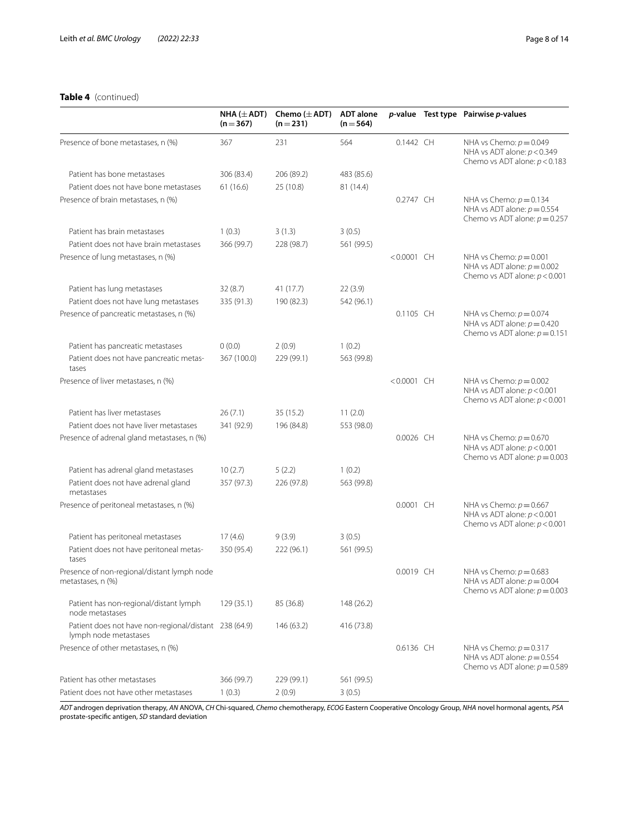# **Table 4** (continued)

|                                                                                | NHA ( $\pm$ ADT)<br>$(n=367)$ | Chemo $(\pm$ ADT)<br>$(n=231)$ | <b>ADT</b> alone<br>$(n = 564)$ |               | $p$ -value Test type Pairwise $p$ -values                                                     |
|--------------------------------------------------------------------------------|-------------------------------|--------------------------------|---------------------------------|---------------|-----------------------------------------------------------------------------------------------|
| Presence of bone metastases, n (%)                                             | 367                           | 231                            | 564                             | 0.1442 CH     | NHA vs Chemo: $p = 0.049$<br>NHA vs ADT alone: $p < 0.349$<br>Chemo vs ADT alone: $p < 0.183$ |
| Patient has bone metastases                                                    | 306 (83.4)                    | 206 (89.2)                     | 483 (85.6)                      |               |                                                                                               |
| Patient does not have bone metastases                                          | 61(16.6)                      | 25 (10.8)                      | 81 (14.4)                       |               |                                                                                               |
| Presence of brain metastases, n (%)                                            |                               |                                |                                 | 0.2747 CH     | NHA vs Chemo: $p = 0.134$<br>NHA vs ADT alone: $p = 0.554$<br>Chemo vs ADT alone: $p = 0.257$ |
| Patient has brain metastases                                                   | 1(0.3)                        | 3(1.3)                         | 3(0.5)                          |               |                                                                                               |
| Patient does not have brain metastases                                         | 366 (99.7)                    | 228 (98.7)                     | 561 (99.5)                      |               |                                                                                               |
| Presence of lung metastases, n (%)                                             |                               |                                |                                 | $< 0.0001$ CH | NHA vs Chemo: $p = 0.001$<br>NHA vs ADT alone: $p = 0.002$<br>Chemo vs ADT alone: $p < 0.001$ |
| Patient has lung metastases                                                    | 32(8.7)                       | 41 (17.7)                      | 22(3.9)                         |               |                                                                                               |
| Patient does not have lung metastases                                          | 335 (91.3)                    | 190 (82.3)                     | 542 (96.1)                      |               |                                                                                               |
| Presence of pancreatic metastases, n (%)                                       |                               |                                |                                 | 0.1105 CH     | NHA vs Chemo: $p = 0.074$<br>NHA vs ADT alone: $p = 0.420$<br>Chemo vs ADT alone: $p = 0.151$ |
| Patient has pancreatic metastases                                              | 0(0.0)                        | 2(0.9)                         | 1(0.2)                          |               |                                                                                               |
| Patient does not have pancreatic metas-<br>tases                               | 367 (100.0)                   | 229 (99.1)                     | 563 (99.8)                      |               |                                                                                               |
| Presence of liver metastases, n (%)                                            |                               |                                |                                 | $< 0.0001$ CH | NHA vs Chemo: $p = 0.002$<br>NHA vs ADT alone: $p < 0.001$<br>Chemo vs ADT alone: $p < 0.001$ |
| Patient has liver metastases                                                   | 26(7.1)                       | 35 (15.2)                      | 11(2.0)                         |               |                                                                                               |
| Patient does not have liver metastases                                         | 341 (92.9)                    | 196 (84.8)                     | 553 (98.0)                      |               |                                                                                               |
| Presence of adrenal gland metastases, n (%)                                    |                               |                                |                                 | 0.0026 CH     | NHA vs Chemo: $p = 0.670$<br>NHA vs ADT alone: $p < 0.001$<br>Chemo vs ADT alone: $p = 0.003$ |
| Patient has adrenal gland metastases                                           | 10(2.7)                       | 5(2.2)                         | 1(0.2)                          |               |                                                                                               |
| Patient does not have adrenal gland<br>metastases                              | 357 (97.3)                    | 226 (97.8)                     | 563 (99.8)                      |               |                                                                                               |
| Presence of peritoneal metastases, n (%)                                       |                               |                                |                                 | 0.0001 CH     | NHA vs Chemo: $p = 0.667$<br>NHA vs ADT alone: $p < 0.001$<br>Chemo vs ADT alone: $p < 0.001$ |
| Patient has peritoneal metastases                                              | 17(4.6)                       | 9(3.9)                         | 3(0.5)                          |               |                                                                                               |
| Patient does not have peritoneal metas-<br>tases                               | 350 (95.4)                    | 222 (96.1)                     | 561 (99.5)                      |               |                                                                                               |
| Presence of non-regional/distant lymph node<br>metastases, n (%)               |                               |                                |                                 | 0.0019 CH     | NHA vs Chemo: $p = 0.683$<br>NHA vs ADT alone: $p = 0.004$<br>Chemo vs ADT alone: $p = 0.003$ |
| Patient has non-regional/distant lymph<br>node metastases                      | 129 (35.1)                    | 85 (36.8)                      | 148 (26.2)                      |               |                                                                                               |
| Patient does not have non-regional/distant 238 (64.9)<br>lymph node metastases |                               | 146 (63.2)                     | 416 (73.8)                      |               |                                                                                               |
| Presence of other metastases, n (%)                                            |                               |                                |                                 | 0.6136 CH     | NHA vs Chemo: $p = 0.317$<br>NHA vs ADT alone: $p = 0.554$<br>Chemo vs ADT alone: $p = 0.589$ |
| Patient has other metastases                                                   | 366 (99.7)                    | 229 (99.1)                     | 561 (99.5)                      |               |                                                                                               |
| Patient does not have other metastases                                         | 1(0.3)                        | 2(0.9)                         | 3(0.5)                          |               |                                                                                               |

*ADT* androgen deprivation therapy, *AN* ANOVA, *CH* Chi-squared, *Chemo* chemotherapy, *ECOG* Eastern Cooperative Oncology Group, *NHA* novel hormonal agents, *PSA* prostate-specifc antigen, *SD* standard deviation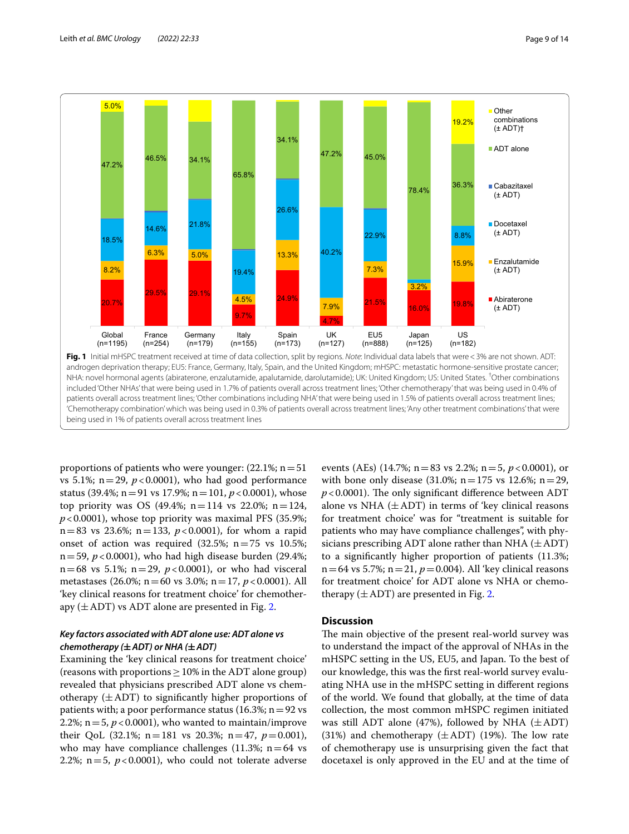

<span id="page-8-0"></span>proportions of patients who were younger:  $(22.1\%; n=51)$ vs 5.1%;  $n=29$ ,  $p<0.0001$ ), who had good performance status (39.4%; n=91 vs 17.9%; n=101, *p*<0.0001), whose top priority was OS (49.4%;  $n = 114$  vs 22.0%;  $n = 124$ ,  $p$ <0.0001), whose top priority was maximal PFS (35.9%;  $n=83$  vs 23.6%;  $n=133$ ,  $p < 0.0001$ ), for whom a rapid onset of action was required  $(32.5\%; n=75 \text{ vs } 10.5\%;$  $n=59$ ,  $p<0.0001$ ), who had high disease burden (29.4%;  $n=68$  vs 5.1%;  $n=29$ ,  $p<0.0001$ ), or who had visceral metastases (26.0%; n=60 vs 3.0%; n=17, *p*<0.0001). All 'key clinical reasons for treatment choice' for chemotherapy  $(\pm ADT)$  vs ADT alone are presented in Fig. [2](#page-9-0).

# *Key factors associated with ADT alone use: ADT alone vs chemotherapy (***±***ADT) or NHA (***±***ADT)*

Examining the 'key clinical reasons for treatment choice' (reasons with proportions  $\geq$  10% in the ADT alone group) revealed that physicians prescribed ADT alone vs chemotherapy  $(\pm ADT)$  to significantly higher proportions of patients with; a poor performance status  $(16.3\%; n=92 \text{ vs } 10^{-10})$ 2.2%;  $n = 5$ ,  $p < 0.0001$ ), who wanted to maintain/improve their QoL (32.1%;  $n=181$  vs 20.3%;  $n=47$ ,  $p=0.001$ ), who may have compliance challenges (11.3%;  $n=64$  vs 2.2%;  $n=5$ ,  $p<0.0001$ ), who could not tolerate adverse events (AEs) (14.7%; n=83 vs 2.2%; n=5, *p*<0.0001), or with bone only disease  $(31.0\%; n=175 \text{ vs } 12.6\%; n=29,$  $p$ <0.0001). The only significant difference between ADT alone vs NHA  $(\pm ADT)$  in terms of 'key clinical reasons for treatment choice' was for "treatment is suitable for patients who may have compliance challenges", with physicians prescribing ADT alone rather than NHA  $(\pm ADT)$ to a signifcantly higher proportion of patients (11.3%;  $n=64$  vs 5.7%;  $n=21$ ,  $p=0.004$ ). All 'key clinical reasons for treatment choice' for ADT alone vs NHA or chemotherapy  $(\pm ADT)$  are presented in Fig. [2](#page-9-0).

# **Discussion**

The main objective of the present real-world survey was to understand the impact of the approval of NHAs in the mHSPC setting in the US, EU5, and Japan. To the best of our knowledge, this was the frst real-world survey evaluating NHA use in the mHSPC setting in diferent regions of the world. We found that globally, at the time of data collection, the most common mHSPC regimen initiated was still ADT alone (47%), followed by NHA  $(\pm ADT)$ (31%) and chemotherapy  $(\pm ADT)$  (19%). The low rate of chemotherapy use is unsurprising given the fact that docetaxel is only approved in the EU and at the time of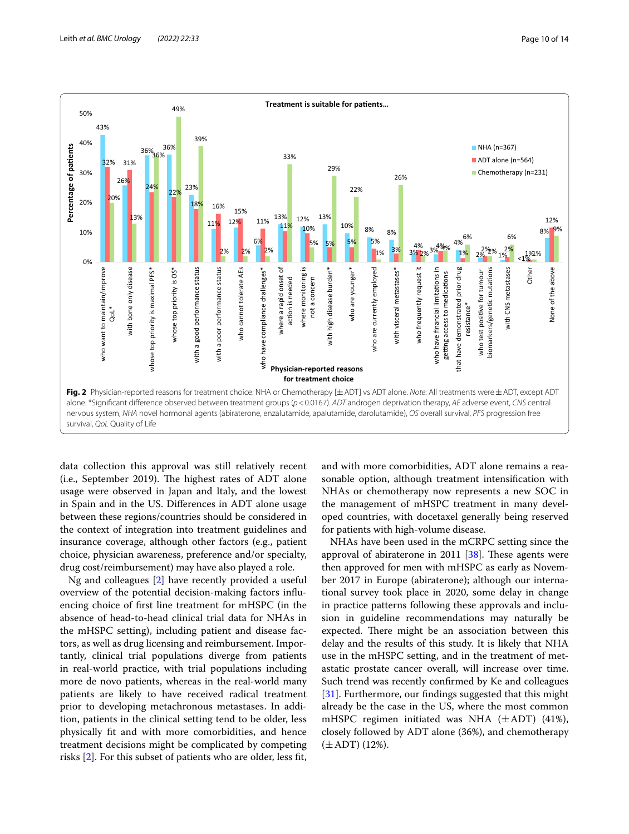

<span id="page-9-0"></span>data collection this approval was still relatively recent (i.e., September 2019). The highest rates of ADT alone usage were observed in Japan and Italy, and the lowest in Spain and in the US. Diferences in ADT alone usage between these regions/countries should be considered in the context of integration into treatment guidelines and insurance coverage, although other factors (e.g., patient choice, physician awareness, preference and/or specialty, drug cost/reimbursement) may have also played a role.

Ng and colleagues [[2\]](#page-12-1) have recently provided a useful overview of the potential decision-making factors infuencing choice of frst line treatment for mHSPC (in the absence of head-to-head clinical trial data for NHAs in the mHSPC setting), including patient and disease factors, as well as drug licensing and reimbursement. Importantly, clinical trial populations diverge from patients in real-world practice, with trial populations including more de novo patients, whereas in the real-world many patients are likely to have received radical treatment prior to developing metachronous metastases. In addition, patients in the clinical setting tend to be older, less physically ft and with more comorbidities, and hence treatment decisions might be complicated by competing risks [\[2](#page-12-1)]. For this subset of patients who are older, less ft,

and with more comorbidities, ADT alone remains a reasonable option, although treatment intensifcation with NHAs or chemotherapy now represents a new SOC in the management of mHSPC treatment in many developed countries, with docetaxel generally being reserved for patients with high-volume disease.

NHAs have been used in the mCRPC setting since the approval of abiraterone in 2011  $[38]$  $[38]$ . These agents were then approved for men with mHSPC as early as November 2017 in Europe (abiraterone); although our international survey took place in 2020, some delay in change in practice patterns following these approvals and inclusion in guideline recommendations may naturally be expected. There might be an association between this delay and the results of this study. It is likely that NHA use in the mHSPC setting, and in the treatment of metastatic prostate cancer overall, will increase over time. Such trend was recently confrmed by Ke and colleagues [[31\]](#page-13-7). Furthermore, our fndings suggested that this might already be the case in the US, where the most common mHSPC regimen initiated was NHA  $(\pm ADT)$  (41%), closely followed by ADT alone (36%), and chemotherapy  $(\pm ADT)$  (12%).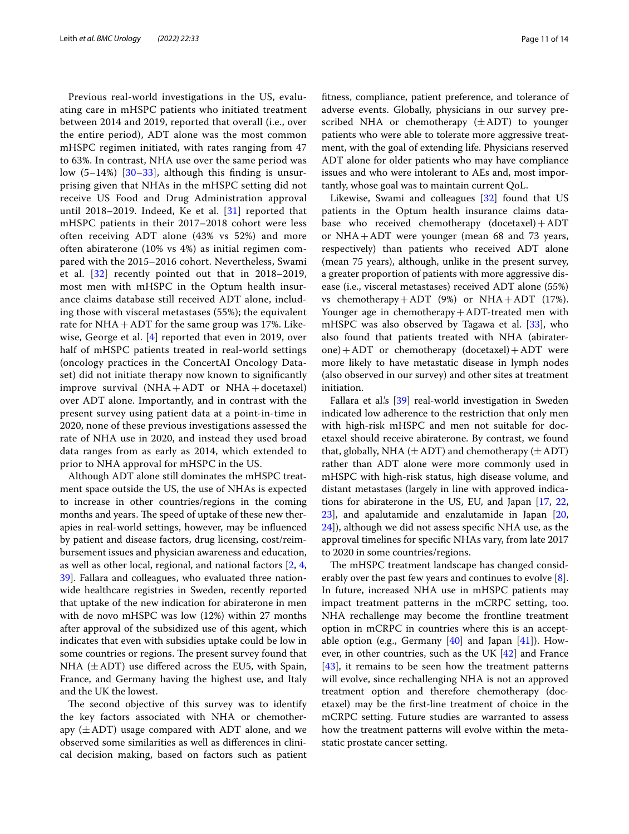Previous real-world investigations in the US, evaluating care in mHSPC patients who initiated treatment between 2014 and 2019, reported that overall (i.e., over the entire period), ADT alone was the most common mHSPC regimen initiated, with rates ranging from 47 to 63%. In contrast, NHA use over the same period was low (5–14%) [[30](#page-13-1)–[33](#page-13-2)], although this fnding is unsurprising given that NHAs in the mHSPC setting did not receive US Food and Drug Administration approval until 2018–2019. Indeed, Ke et al. [[31](#page-13-7)] reported that mHSPC patients in their 2017–2018 cohort were less often receiving ADT alone (43% vs 52%) and more often abiraterone (10% vs 4%) as initial regimen compared with the 2015–2016 cohort. Nevertheless, Swami et al. [[32](#page-13-8)] recently pointed out that in 2018–2019, most men with mHSPC in the Optum health insurance claims database still received ADT alone, including those with visceral metastases (55%); the equivalent rate for  $NHA + ADT$  for the same group was 17%. Likewise, George et al. [[4\]](#page-12-3) reported that even in 2019, over half of mHSPC patients treated in real-world settings (oncology practices in the ConcertAI Oncology Dataset) did not initiate therapy now known to signifcantly improve survival  $(NHA+ADT$  or  $NHA+docetaxel)$ over ADT alone. Importantly, and in contrast with the present survey using patient data at a point-in-time in 2020, none of these previous investigations assessed the rate of NHA use in 2020, and instead they used broad data ranges from as early as 2014, which extended to prior to NHA approval for mHSPC in the US.

Although ADT alone still dominates the mHSPC treatment space outside the US, the use of NHAs is expected to increase in other countries/regions in the coming months and years. The speed of uptake of these new therapies in real-world settings, however, may be infuenced by patient and disease factors, drug licensing, cost/reimbursement issues and physician awareness and education, as well as other local, regional, and national factors [\[2](#page-12-1), [4](#page-12-3), [39\]](#page-13-9). Fallara and colleagues, who evaluated three nationwide healthcare registries in Sweden, recently reported that uptake of the new indication for abiraterone in men with de novo mHSPC was low (12%) within 27 months after approval of the subsidized use of this agent, which indicates that even with subsidies uptake could be low in some countries or regions. The present survey found that NHA  $(\pm ADT)$  use differed across the EU5, with Spain, France, and Germany having the highest use, and Italy and the UK the lowest.

The second objective of this survey was to identify the key factors associated with NHA or chemotherapy  $(\pm ADT)$  usage compared with ADT alone, and we observed some similarities as well as diferences in clinical decision making, based on factors such as patient ftness, compliance, patient preference, and tolerance of adverse events. Globally, physicians in our survey prescribed NHA or chemotherapy  $(\pm ADT)$  to younger patients who were able to tolerate more aggressive treatment, with the goal of extending life. Physicians reserved ADT alone for older patients who may have compliance issues and who were intolerant to AEs and, most importantly, whose goal was to maintain current QoL.

Likewise, Swami and colleagues [\[32](#page-13-8)] found that US patients in the Optum health insurance claims database who received chemotherapy (docetaxel)+ADT or NHA+ADT were younger (mean 68 and 73 years, respectively) than patients who received ADT alone (mean 75 years), although, unlike in the present survey, a greater proportion of patients with more aggressive disease (i.e., visceral metastases) received ADT alone (55%) vs chemotherapy + ADT  $(9%)$  or NHA + ADT  $(17%).$ Younger age in chemotherapy+ADT-treated men with mHSPC was also observed by Tagawa et al. [[33](#page-13-2)], who also found that patients treated with NHA (abiraterone)+ADT or chemotherapy (docetaxel)+ADT were more likely to have metastatic disease in lymph nodes (also observed in our survey) and other sites at treatment initiation.

Fallara et al.'s [[39](#page-13-9)] real-world investigation in Sweden indicated low adherence to the restriction that only men with high-risk mHSPC and men not suitable for docetaxel should receive abiraterone. By contrast, we found that, globally, NHA ( $\pm$  ADT) and chemotherapy ( $\pm$  ADT) rather than ADT alone were more commonly used in mHSPC with high-risk status, high disease volume, and distant metastases (largely in line with approved indications for abiraterone in the US, EU, and Japan [\[17](#page-12-20), [22](#page-12-21), [23\]](#page-12-22), and apalutamide and enzalutamide in Japan [[20](#page-12-27), [24\]](#page-12-15)), although we did not assess specifc NHA use, as the approval timelines for specifc NHAs vary, from late 2017 to 2020 in some countries/regions.

The mHSPC treatment landscape has changed considerably over the past few years and continues to evolve [\[8](#page-12-7)]. In future, increased NHA use in mHSPC patients may impact treatment patterns in the mCRPC setting, too. NHA rechallenge may become the frontline treatment option in mCRPC in countries where this is an acceptable option (e.g., Germany  $[40]$  $[40]$  and Japan  $[41]$  $[41]$  $[41]$ ). However, in other countries, such as the UK [[42\]](#page-13-12) and France [[43\]](#page-13-13), it remains to be seen how the treatment patterns will evolve, since rechallenging NHA is not an approved treatment option and therefore chemotherapy (docetaxel) may be the frst-line treatment of choice in the mCRPC setting. Future studies are warranted to assess how the treatment patterns will evolve within the metastatic prostate cancer setting.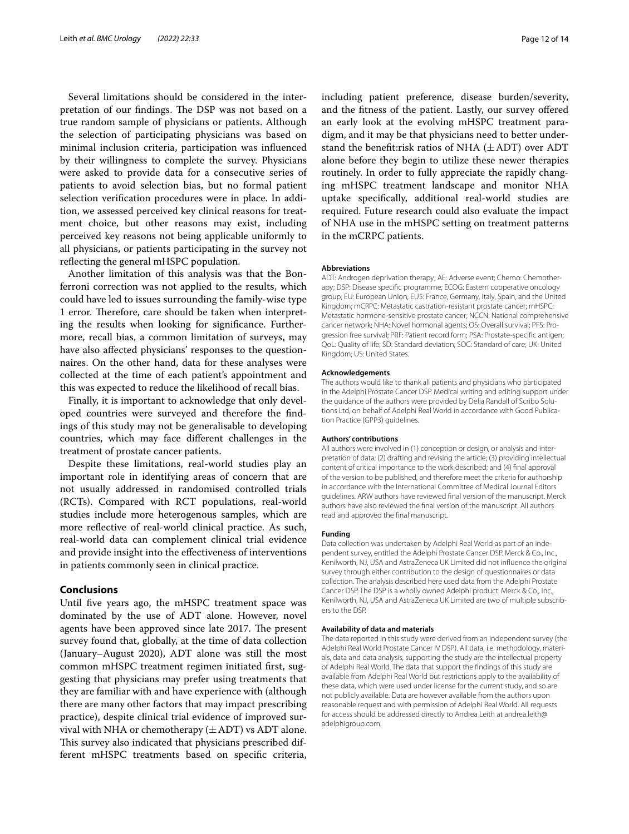Several limitations should be considered in the interpretation of our findings. The DSP was not based on a true random sample of physicians or patients. Although the selection of participating physicians was based on minimal inclusion criteria, participation was infuenced by their willingness to complete the survey. Physicians were asked to provide data for a consecutive series of patients to avoid selection bias, but no formal patient selection verifcation procedures were in place. In addition, we assessed perceived key clinical reasons for treatment choice, but other reasons may exist, including perceived key reasons not being applicable uniformly to all physicians, or patients participating in the survey not refecting the general mHSPC population.

Another limitation of this analysis was that the Bonferroni correction was not applied to the results, which could have led to issues surrounding the family-wise type 1 error. Therefore, care should be taken when interpreting the results when looking for signifcance. Furthermore, recall bias, a common limitation of surveys, may have also afected physicians' responses to the questionnaires. On the other hand, data for these analyses were collected at the time of each patient's appointment and this was expected to reduce the likelihood of recall bias.

Finally, it is important to acknowledge that only developed countries were surveyed and therefore the fndings of this study may not be generalisable to developing countries, which may face diferent challenges in the treatment of prostate cancer patients.

Despite these limitations, real-world studies play an important role in identifying areas of concern that are not usually addressed in randomised controlled trials (RCTs). Compared with RCT populations, real-world studies include more heterogenous samples, which are more refective of real-world clinical practice. As such, real-world data can complement clinical trial evidence and provide insight into the efectiveness of interventions in patients commonly seen in clinical practice.

# **Conclusions**

Until fve years ago, the mHSPC treatment space was dominated by the use of ADT alone. However, novel agents have been approved since late 2017. The present survey found that, globally, at the time of data collection (January–August 2020), ADT alone was still the most common mHSPC treatment regimen initiated frst, suggesting that physicians may prefer using treatments that they are familiar with and have experience with (although there are many other factors that may impact prescribing practice), despite clinical trial evidence of improved survival with NHA or chemotherapy  $(\pm ADT)$  vs ADT alone. This survey also indicated that physicians prescribed different mHSPC treatments based on specifc criteria,

including patient preference, disease burden/severity, and the ftness of the patient. Lastly, our survey ofered an early look at the evolving mHSPC treatment paradigm, and it may be that physicians need to better understand the benefit:risk ratios of NHA  $(\pm ADT)$  over ADT alone before they begin to utilize these newer therapies routinely. In order to fully appreciate the rapidly changing mHSPC treatment landscape and monitor NHA uptake specifcally, additional real-world studies are required. Future research could also evaluate the impact of NHA use in the mHSPC setting on treatment patterns in the mCRPC patients.

## **Abbreviations**

ADT: Androgen deprivation therapy; AE: Adverse event; Chemo: Chemotherapy; DSP: Disease specifc programme; ECOG: Eastern cooperative oncology group; EU: European Union; EU5: France, Germany, Italy, Spain, and the United Kingdom; mCRPC: Metastatic castration-resistant prostate cancer; mHSPC: Metastatic hormone-sensitive prostate cancer; NCCN: National comprehensive cancer network; NHA: Novel hormonal agents; OS: Overall survival; PFS: Progression free survival; PRF: Patient record form; PSA: Prostate-specifc antigen; QoL: Quality of life; SD: Standard deviation; SOC: Standard of care; UK: United Kingdom; US: United States.

#### **Acknowledgements**

The authors would like to thank all patients and physicians who participated in the Adelphi Prostate Cancer DSP. Medical writing and editing support under the guidance of the authors were provided by Delia Randall of Scribo Solutions Ltd, on behalf of Adelphi Real World in accordance with Good Publication Practice (GPP3) guidelines.

#### **Authors' contributions**

All authors were involved in (1) conception or design, or analysis and interpretation of data; (2) drafting and revising the article; (3) providing intellectual content of critical importance to the work described; and (4) fnal approval of the version to be published, and therefore meet the criteria for authorship in accordance with the International Committee of Medical Journal Editors guidelines. ARW authors have reviewed fnal version of the manuscript. Merck authors have also reviewed the fnal version of the manuscript. All authors read and approved the fnal manuscript.

#### **Funding**

Data collection was undertaken by Adelphi Real World as part of an independent survey, entitled the Adelphi Prostate Cancer DSP. Merck & Co., Inc., Kenilworth, NJ, USA and AstraZeneca UK Limited did not infuence the original survey through either contribution to the design of questionnaires or data collection. The analysis described here used data from the Adelphi Prostate Cancer DSP. The DSP is a wholly owned Adelphi product. Merck & Co., Inc., Kenilworth, NJ, USA and AstraZeneca UK Limited are two of multiple subscribers to the DSP.

## **Availability of data and materials**

The data reported in this study were derived from an independent survey (the Adelphi Real World Prostate Cancer IV DSP). All data, i.e. methodology, materials, data and data analysis, supporting the study are the intellectual property of Adelphi Real World. The data that support the fndings of this study are available from Adelphi Real World but restrictions apply to the availability of these data, which were used under license for the current study, and so are not publicly available. Data are however available from the authors upon reasonable request and with permission of Adelphi Real World. All requests for access should be addressed directly to Andrea Leith at andrea.leith@ adelphigroup.com.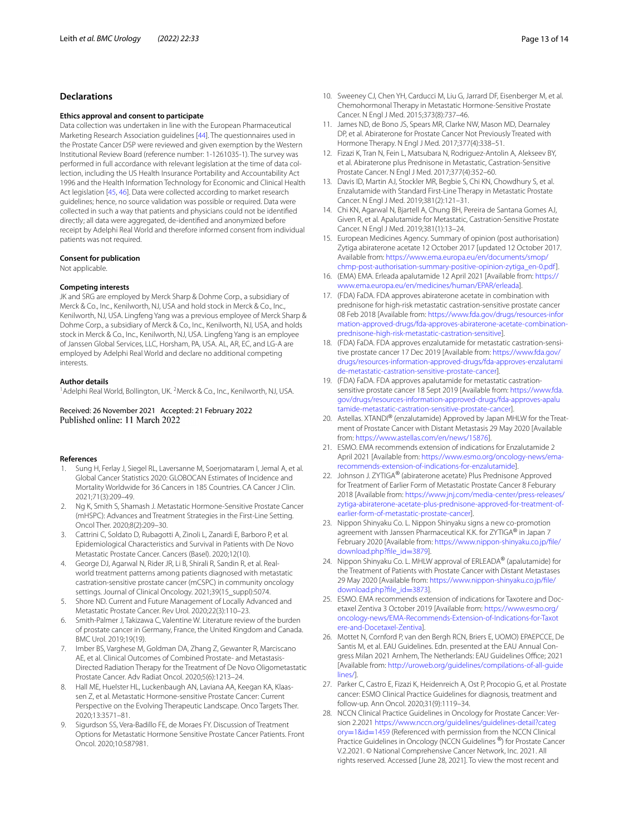## **Declarations**

## **Ethics approval and consent to participate**

Data collection was undertaken in line with the European Pharmaceutical Marketing Research Association guidelines [[44\]](#page-13-14). The questionnaires used in the Prostate Cancer DSP were reviewed and given exemption by the Western Institutional Review Board (reference number: 1-1261035-1). The survey was performed in full accordance with relevant legislation at the time of data collection, including the US Health Insurance Portability and Accountability Act 1996 and the Health Information Technology for Economic and Clinical Health Act legislation [[45,](#page-13-15) [46](#page-13-16)]. Data were collected according to market research guidelines; hence, no source validation was possible or required. Data were collected in such a way that patients and physicians could not be identifed directly; all data were aggregated, de-identifed and anonymized before receipt by Adelphi Real World and therefore informed consent from individual patients was not required.

## **Consent for publication**

Not applicable.

#### **Competing interests**

JK and SRG are employed by Merck Sharp & Dohme Corp., a subsidiary of Merck & Co., Inc., Kenilworth, NJ, USA and hold stock in Merck & Co., Inc., Kenilworth, NJ, USA. Lingfeng Yang was a previous employee of Merck Sharp & Dohme Corp., a subsidiary of Merck & Co., Inc., Kenilworth, NJ, USA, and holds stock in Merck & Co., Inc., Kenilworth, NJ, USA. Lingfeng Yang is an employee of Janssen Global Services, LLC, Horsham, PA, USA. AL, AR, EC, and LG-A are employed by Adelphi Real World and declare no additional competing interests.

#### **Author details**

<sup>1</sup> Adelphi Real World, Bollington, UK. <sup>2</sup> Merck & Co., Inc., Kenilworth, NJ, USA.

## Received: 26 November 2021 Accepted: 21 February 2022 Published online: 11 March 2022

## **References**

- <span id="page-12-0"></span>1. Sung H, Ferlay J, Siegel RL, Laversanne M, Soerjomataram I, Jemal A, et al. Global Cancer Statistics 2020: GLOBOCAN Estimates of Incidence and Mortality Worldwide for 36 Cancers in 185 Countries. CA Cancer J Clin. 2021;71(3):209–49.
- <span id="page-12-1"></span>2. Ng K, Smith S, Shamash J. Metastatic Hormone-Sensitive Prostate Cancer (mHSPC): Advances and Treatment Strategies in the First-Line Setting. Oncol Ther. 2020;8(2):209–30.
- <span id="page-12-2"></span>3. Cattrini C, Soldato D, Rubagotti A, Zinoli L, Zanardi E, Barboro P, et al. Epidemiological Characteristics and Survival in Patients with De Novo Metastatic Prostate Cancer. Cancers (Basel). 2020;12(10).
- <span id="page-12-3"></span>4. George DJ, Agarwal N, Rider JR, Li B, Shirali R, Sandin R, et al. Realworld treatment patterns among patients diagnosed with metastatic castration-sensitive prostate cancer (mCSPC) in community oncology settings. Journal of Clinical Oncology. 2021;39(15\_suppl):5074.
- <span id="page-12-4"></span>5. Shore ND. Current and Future Management of Locally Advanced and Metastatic Prostate Cancer. Rev Urol. 2020;22(3):110–23.
- <span id="page-12-5"></span>6. Smith-Palmer J, Takizawa C, Valentine W. Literature review of the burden of prostate cancer in Germany, France, the United Kingdom and Canada. BMC Urol. 2019;19(19).
- <span id="page-12-6"></span>7. Imber BS, Varghese M, Goldman DA, Zhang Z, Gewanter R, Marciscano AE, et al. Clinical Outcomes of Combined Prostate- and Metastasis-Directed Radiation Therapy for the Treatment of De Novo Oligometastatic Prostate Cancer. Adv Radiat Oncol. 2020;5(6):1213–24.
- <span id="page-12-7"></span>8. Hall ME, Huelster HL, Luckenbaugh AN, Laviana AA, Keegan KA, Klaassen Z, et al. Metastatic Hormone-sensitive Prostate Cancer: Current Perspective on the Evolving Therapeutic Landscape. Onco Targets Ther. 2020;13:3571–81.
- <span id="page-12-8"></span>9. Sigurdson SS, Vera-Badillo FE, de Moraes FY. Discussion of Treatment Options for Metastatic Hormone Sensitive Prostate Cancer Patients. Front Oncol. 2020;10:587981.
- <span id="page-12-9"></span>10. Sweeney CJ, Chen YH, Carducci M, Liu G, Jarrard DF, Eisenberger M, et al. Chemohormonal Therapy in Metastatic Hormone-Sensitive Prostate Cancer. N Engl J Med. 2015;373(8):737–46.
- <span id="page-12-10"></span>11. James ND, de Bono JS, Spears MR, Clarke NW, Mason MD, Dearnaley DP, et al. Abiraterone for Prostate Cancer Not Previously Treated with Hormone Therapy. N Engl J Med. 2017;377(4):338–51.
- <span id="page-12-11"></span>12. Fizazi K, Tran N, Fein L, Matsubara N, Rodriguez-Antolin A, Alekseev BY, et al. Abiraterone plus Prednisone in Metastatic, Castration-Sensitive Prostate Cancer. N Engl J Med. 2017;377(4):352–60.
- <span id="page-12-12"></span>13. Davis ID, Martin AJ, Stockler MR, Begbie S, Chi KN, Chowdhury S, et al. Enzalutamide with Standard First-Line Therapy in Metastatic Prostate Cancer. N Engl J Med. 2019;381(2):121–31.
- <span id="page-12-13"></span>14. Chi KN, Agarwal N, Bjartell A, Chung BH, Pereira de Santana Gomes AJ, Given R, et al. Apalutamide for Metastatic, Castration-Sensitive Prostate Cancer. N Engl J Med. 2019;381(1):13–24.
- <span id="page-12-14"></span>15. European Medicines Agency. Summary of opinion (post authorisation) Zytiga abiraterone acetate 12 October 2017 [updated 12 October 2017. Available from: [https://www.ema.europa.eu/en/documents/smop/](https://www.ema.europa.eu/en/documents/smop/chmp-post-authorisation-summary-positive-opinion-zytiga_en-0.pdf) [chmp-post-authorisation-summary-positive-opinion-zytiga\\_en-0.pdf\]](https://www.ema.europa.eu/en/documents/smop/chmp-post-authorisation-summary-positive-opinion-zytiga_en-0.pdf).
- <span id="page-12-24"></span>16. (EMA) EMA. Erleada apalutamide 12 April 2021 [Available from: [https://](https://www.ema.europa.eu/en/medicines/human/EPAR/erleada) [www.ema.europa.eu/en/medicines/human/EPAR/erleada\]](https://www.ema.europa.eu/en/medicines/human/EPAR/erleada).
- <span id="page-12-20"></span>17. (FDA) FaDA. FDA approves abiraterone acetate in combination with prednisone for high-risk metastatic castration-sensitive prostate cancer 08 Feb 2018 [Available from: [https://www.fda.gov/drugs/resources-infor](https://www.fda.gov/drugs/resources-information-approved-drugs/fda-approves-abiraterone-acetate-combination-prednisone-high-risk-metastatic-castration-sensitive) [mation-approved-drugs/fda-approves-abiraterone-acetate-combination](https://www.fda.gov/drugs/resources-information-approved-drugs/fda-approves-abiraterone-acetate-combination-prednisone-high-risk-metastatic-castration-sensitive) [prednisone-high-risk-metastatic-castration-sensitive\]](https://www.fda.gov/drugs/resources-information-approved-drugs/fda-approves-abiraterone-acetate-combination-prednisone-high-risk-metastatic-castration-sensitive).
- <span id="page-12-25"></span>18. (FDA) FaDA. FDA approves enzalutamide for metastatic castration-sensitive prostate cancer 17 Dec 2019 [Available from: [https://www.fda.gov/](https://www.fda.gov/drugs/resources-information-approved-drugs/fda-approves-enzalutamide-metastatic-castration-sensitive-prostate-cancer) [drugs/resources-information-approved-drugs/fda-approves-enzalutami](https://www.fda.gov/drugs/resources-information-approved-drugs/fda-approves-enzalutamide-metastatic-castration-sensitive-prostate-cancer) [de-metastatic-castration-sensitive-prostate-cancer](https://www.fda.gov/drugs/resources-information-approved-drugs/fda-approves-enzalutamide-metastatic-castration-sensitive-prostate-cancer)].
- <span id="page-12-23"></span>19. (FDA) FaDA. FDA approves apalutamide for metastatic castrationsensitive prostate cancer 18 Sept 2019 [Available from: [https://www.fda.](https://www.fda.gov/drugs/resources-information-approved-drugs/fda-approves-apalutamide-metastatic-castration-sensitive-prostate-cancer) [gov/drugs/resources-information-approved-drugs/fda-approves-apalu](https://www.fda.gov/drugs/resources-information-approved-drugs/fda-approves-apalutamide-metastatic-castration-sensitive-prostate-cancer) [tamide-metastatic-castration-sensitive-prostate-cancer\]](https://www.fda.gov/drugs/resources-information-approved-drugs/fda-approves-apalutamide-metastatic-castration-sensitive-prostate-cancer).
- <span id="page-12-27"></span>20. Astellas. XTANDI® (enzalutamide) Approved by Japan MHLW for the Treatment of Prostate Cancer with Distant Metastasis 29 May 2020 [Available from: <https://www.astellas.com/en/news/15876>].
- <span id="page-12-26"></span>21. ESMO. EMA recommends extension of indications for Enzalutamide 2 April 2021 [Available from: [https://www.esmo.org/oncology-news/ema](https://www.esmo.org/oncology-news/ema-recommends-extension-of-indications-for-enzalutamide) [recommends-extension-of-indications-for-enzalutamide\]](https://www.esmo.org/oncology-news/ema-recommends-extension-of-indications-for-enzalutamide).
- <span id="page-12-21"></span>22. Johnson J. ZYTIGA<sup>®</sup> (abiraterone acetate) Plus Prednisone Approved for Treatment of Earlier Form of Metastatic Prostate Cancer 8 Feburary 2018 [Available from: [https://www.jnj.com/media-center/press-releases/](https://www.jnj.com/media-center/press-releases/zytiga-abiraterone-acetate-plus-prednisone-approved-for-treatment-of-earlier-form-of-metastatic-prostate-cancer) [zytiga-abiraterone-acetate-plus-prednisone-approved-for-treatment-of](https://www.jnj.com/media-center/press-releases/zytiga-abiraterone-acetate-plus-prednisone-approved-for-treatment-of-earlier-form-of-metastatic-prostate-cancer) [earlier-form-of-metastatic-prostate-cancer\]](https://www.jnj.com/media-center/press-releases/zytiga-abiraterone-acetate-plus-prednisone-approved-for-treatment-of-earlier-form-of-metastatic-prostate-cancer).
- <span id="page-12-22"></span>23. Nippon Shinyaku Co. L. Nippon Shinyaku signs a new co-promotion agreement with Janssen Pharmaceutical K.K. for ZYTIGA® in Japan 7 February 2020 [Available from: [https://www.nippon-shinyaku.co.jp/fle/](https://www.nippon-shinyaku.co.jp/file/download.php?file_id=3879) [download.php?fle\\_id](https://www.nippon-shinyaku.co.jp/file/download.php?file_id=3879)=3879].
- <span id="page-12-15"></span>24. Nippon Shinyaku Co. L. MHLW approval of ERLEADA® (apalutamide) for the Treatment of Patients with Prostate Cancer with Distant Metastases 29 May 2020 [Available from: [https://www.nippon-shinyaku.co.jp/fle/](https://www.nippon-shinyaku.co.jp/file/download.php?file_id=3873) download.php?file\_id=3873].
- <span id="page-12-16"></span>25. ESMO. EMA recommends extension of indications for Taxotere and Docetaxel Zentiva 3 October 2019 [Available from: [https://www.esmo.org/](https://www.esmo.org/oncology-news/EMA-Recommends-Extension-of-Indications-for-Taxotere-and-Docetaxel-Zentiva) [oncology-news/EMA-Recommends-Extension-of-Indications-for-Taxot](https://www.esmo.org/oncology-news/EMA-Recommends-Extension-of-Indications-for-Taxotere-and-Docetaxel-Zentiva) [ere-and-Docetaxel-Zentiva\]](https://www.esmo.org/oncology-news/EMA-Recommends-Extension-of-Indications-for-Taxotere-and-Docetaxel-Zentiva).
- <span id="page-12-17"></span>26. Mottet N, Cornford P, van den Bergh RCN, Briers E, UOMO) EPAEPCCE, De Santis M, et al. EAU Guidelines. Edn. presented at the EAU Annual Congress Milan 2021 Arnhem, The Netherlands: EAU Guidelines Office; 2021 [Available from: [http://uroweb.org/guidelines/compilations-of-all-guide](http://uroweb.org/guidelines/compilations-of-all-guidelines/) [lines/\]](http://uroweb.org/guidelines/compilations-of-all-guidelines/).
- <span id="page-12-18"></span>27. Parker C, Castro E, Fizazi K, Heidenreich A, Ost P, Procopio G, et al. Prostate cancer: ESMO Clinical Practice Guidelines for diagnosis, treatment and follow-up. Ann Oncol. 2020;31(9):1119–34.
- <span id="page-12-19"></span>28. NCCN Clinical Practice Guidelines in Oncology for Prostate Cancer: Version 2.2021 [https://www.nccn.org/guidelines/guidelines-detail?categ](https://www.nccn.org/guidelines/guidelines-detail?category=1&id=1459) ory=1&id=1459 (Referenced with permission from the NCCN Clinical [Practice Guidelin](https://www.nccn.org/guidelines/guidelines-detail?category=1&id=1459)es in Oncology (NCCN Guidelines ®) for Prostate Cancer V.2.2021. © National Comprehensive Cancer Network, Inc. 2021. All rights reserved. Accessed [June 28, 2021]. To view the most recent and